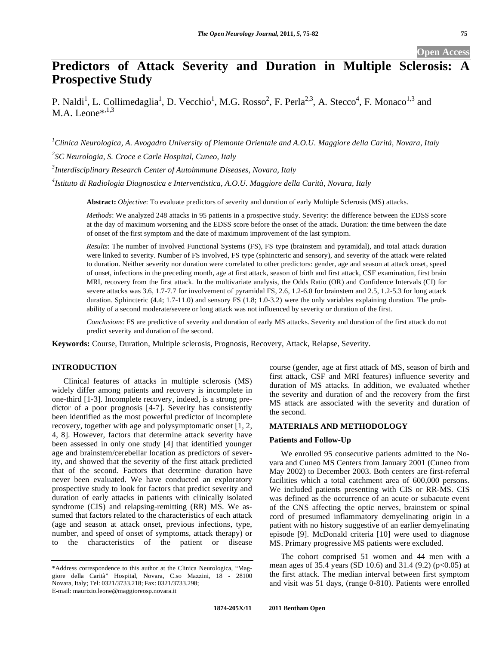## **Open Access**

# **Predictors of Attack Severity and Duration in Multiple Sclerosis: Prospective Study**

P. Naldi<sup>1</sup>, L. Collimedaglia<sup>1</sup>, D. Vecchio<sup>1</sup>, M.G. Rosso<sup>2</sup>, F. Perla<sup>2,3</sup>, A. Stecco<sup>4</sup>, F. Monaco<sup>1,3</sup> and  $M.A.$  Leone\*, $^{1,3}$ 

*1 Clinica Neurologica, A. Avogadro University of Piemonte Orientale and A.O.U. Maggiore della Carità, Novara, Italy 2 SC Neurologia, S. Croce e Carle Hospital, Cuneo, Italy* 

*3 Interdisciplinary Research Center of Autoimmune Diseases, Novara, Italy* 

*4 Istituto di Radiologia Diagnostica e Interventistica, A.O.U. Maggiore della Carità, Novara, Italy* 

**Abstract:** *Objective*: To evaluate predictors of severity and duration of early Multiple Sclerosis (MS) attacks.

*Methods*: We analyzed 248 attacks in 95 patients in a prospective study. Severity: the difference between the EDSS score at the day of maximum worsening and the EDSS score before the onset of the attack. Duration: the time between the date of onset of the first symptom and the date of maximum improvement of the last symptom.

*Results*: The number of involved Functional Systems (FS), FS type (brainstem and pyramidal), and total attack duration were linked to severity. Number of FS involved, FS type (sphincteric and sensory), and severity of the attack were related to duration. Neither severity nor duration were correlated to other predictors: gender, age and season at attack onset, speed of onset, infections in the preceding month, age at first attack, season of birth and first attack, CSF examination, first brain MRI, recovery from the first attack. In the multivariate analysis, the Odds Ratio (OR) and Confidence Intervals (CI) for severe attacks was 3.6, 1.7-7.7 for involvement of pyramidal FS, 2.6, 1.2-6.0 for brainstem and 2.5, 1.2-5.3 for long attack duration. Sphincteric (4.4; 1.7-11.0) and sensory FS (1.8; 1.0-3.2) were the only variables explaining duration. The probability of a second moderate/severe or long attack was not influenced by severity or duration of the first.

*Conclusions*: FS are predictive of severity and duration of early MS attacks. Severity and duration of the first attack do not predict severity and duration of the second.

**Keywords:** Course, Duration, Multiple sclerosis, Prognosis, Recovery, Attack, Relapse, Severity.

# **INTRODUCTION**

Clinical features of attacks in multiple sclerosis (MS) widely differ among patients and recovery is incomplete in one-third [1-3]. Incomplete recovery, indeed, is a strong predictor of a poor prognosis [4-7]. Severity has consistently been identified as the most powerful predictor of incomplete recovery, together with age and polysymptomatic onset [1, 2, 4, 8]. However, factors that determine attack severity have been assessed in only one study [4] that identified younger age and brainstem/cerebellar location as predictors of severity, and showed that the severity of the first attack predicted that of the second. Factors that determine duration have never been evaluated. We have conducted an exploratory prospective study to look for factors that predict severity and duration of early attacks in patients with clinically isolated syndrome (CIS) and relapsing-remitting (RR) MS. We assumed that factors related to the characteristics of each attack (age and season at attack onset, previous infections, type, number, and speed of onset of symptoms, attack therapy) or to the characteristics of the patient or disease

course (gender, age at first attack of MS, season of birth and first attack, CSF and MRI features) influence severity and duration of MS attacks. In addition, we evaluated whether the severity and duration of and the recovery from the first MS attack are associated with the severity and duration of the second.

# **MATERIALS AND METHODOLOGY**

# **Patients and Follow-Up**

We enrolled 95 consecutive patients admitted to the Novara and Cuneo MS Centers from January 2001 (Cuneo from May 2002) to December 2003. Both centers are first-referral facilities which a total catchment area of 600,000 persons. We included patients presenting with CIS or RR-MS. CIS was defined as the occurrence of an acute or subacute event of the CNS affecting the optic nerves, brainstem or spinal cord of presumed inflammatory demyelinating origin in a patient with no history suggestive of an earlier demyelinating episode [9]. McDonald criteria [10] were used to diagnose MS. Primary progressive MS patients were excluded.

The cohort comprised 51 women and 44 men with a mean ages of 35.4 years (SD 10.6) and 31.4 (9.2) ( $p<0.05$ ) at the first attack. The median interval between first symptom and visit was 51 days, (range 0-810). Patients were enrolled

<sup>\*</sup>Address correspondence to this author at the Clinica Neurologica, "Maggiore della Carità" Hospital, Novara, C.so Mazzini, 18 - 28100 Novara, Italy; Tel: 0321/3733.218; Fax: 0321/3733.298; E-mail: maurizio.leone@maggioreosp.novara.it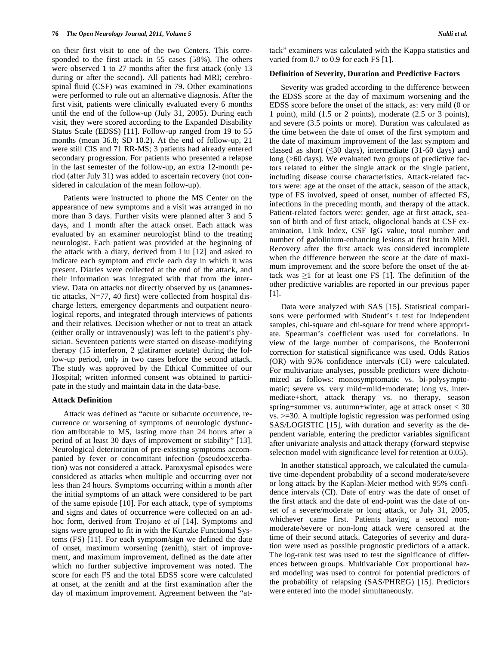on their first visit to one of the two Centers. This corresponded to the first attack in 55 cases (58%). The others were observed 1 to 27 months after the first attack (only 13 during or after the second). All patients had MRI; cerebrospinal fluid (CSF) was examined in 79. Other examinations were performed to rule out an alternative diagnosis. After the first visit, patients were clinically evaluated every 6 months until the end of the follow-up (July 31, 2005). During each visit, they were scored according to the Expanded Disability Status Scale (EDSS) [11]. Follow-up ranged from 19 to 55 months (mean 36.8; SD 10.2). At the end of follow-up, 21 were still CIS and 71 RR-MS; 3 patients had already entered secondary progression. For patients who presented a relapse in the last semester of the follow-up, an extra 12-month period (after July 31) was added to ascertain recovery (not considered in calculation of the mean follow-up).

Patients were instructed to phone the MS Center on the appearance of new symptoms and a visit was arranged in no more than 3 days. Further visits were planned after 3 and 5 days, and 1 month after the attack onset. Each attack was evaluated by an examiner neurologist blind to the treating neurologist. Each patient was provided at the beginning of the attack with a diary, derived from Liu [12] and asked to indicate each symptom and circle each day in which it was present. Diaries were collected at the end of the attack, and their information was integrated with that from the interview. Data on attacks not directly observed by us (anamnestic attacks, N=77, 40 first) were collected from hospital discharge letters, emergency departments and outpatient neurological reports, and integrated through interviews of patients and their relatives. Decision whether or not to treat an attack (either orally or intravenously) was left to the patient's physician. Seventeen patients were started on disease-modifying therapy (15 interferon, 2 glatiramer acetate) during the follow-up period, only in two cases before the second attack. The study was approved by the Ethical Committee of our Hospital; written informed consent was obtained to participate in the study and maintain data in the data-base.

## **Attack Definition**

Attack was defined as "acute or subacute occurrence, recurrence or worsening of symptoms of neurologic dysfunction attributable to MS, lasting more than 24 hours after a period of at least 30 days of improvement or stability" [13]. Neurological deterioration of pre-existing symptoms accompanied by fever or concomitant infection (pseudoexcerbation) was not considered a attack. Paroxysmal episodes were considered as attacks when multiple and occurring over not less than 24 hours. Symptoms occurring within a month after the initial symptoms of an attack were considered to be part of the same episode [10]. For each attack, type of symptoms and signs and dates of occurrence were collected on an adhoc form, derived from Trojano *et al* [14]. Symptoms and signs were grouped to fit in with the Kurtzke Functional Systems (FS) [11]. For each symptom/sign we defined the date of onset, maximum worsening (zenith), start of improvement, and maximum improvement, defined as the date after which no further subjective improvement was noted. The score for each FS and the total EDSS score were calculated at onset, at the zenith and at the first examination after the day of maximum improvement. Agreement between the "attack" examiners was calculated with the Kappa statistics and varied from 0.7 to 0.9 for each FS [1].

# **Definition of Severity, Duration and Predictive Factors**

Severity was graded according to the difference between the EDSS score at the day of maximum worsening and the EDSS score before the onset of the attack, as: very mild (0 or 1 point), mild (1.5 or 2 points), moderate (2.5 or 3 points), and severe (3.5 points or more). Duration was calculated as the time between the date of onset of the first symptom and the date of maximum improvement of the last symptom and classed as short  $(\leq 30 \text{ days})$ , intermediate (31-60 days) and long (>60 days). We evaluated two groups of predictive factors related to either the single attack or the single patient, including disease course characteristics. Attack-related factors were: age at the onset of the attack, season of the attack, type of FS involved, speed of onset, number of affected FS, infections in the preceding month, and therapy of the attack. Patient-related factors were: gender, age at first attack, season of birth and of first attack, oligoclonal bands at CSF examination, Link Index, CSF IgG value, total number and number of gadolinium-enhancing lesions at first brain MRI. Recovery after the first attack was considered incomplete when the difference between the score at the date of maximum improvement and the score before the onset of the attack was  $\geq 1$  for at least one FS [1]. The definition of the other predictive variables are reported in our previous paper [1].

Data were analyzed with SAS [15]. Statistical comparisons were performed with Student's t test for independent samples, chi-square and chi-square for trend where appropriate. Spearman's coefficient was used for correlations. In view of the large number of comparisons, the Bonferroni correction for statistical significance was used. Odds Ratios (OR) with 95% confidence intervals (CI) were calculated. For multivariate analyses, possible predictors were dichotomized as follows: monosymptomatic vs. bi-polysymptomatic; severe vs. very mild+mild+moderate; long vs. intermediate+short, attack therapy vs. no therapy, season spring+summer vs. autumn+winter, age at attack onset < 30 vs. >=30. A multiple logistic regression was performed using SAS/LOGISTIC [15], with duration and severity as the dependent variable, entering the predictor variables significant after univariate analysis and attack therapy (forward stepwise selection model with significance level for retention at 0.05).

In another statistical approach, we calculated the cumulative time-dependent probability of a second moderate/severe or long attack by the Kaplan-Meier method with 95% confidence intervals (CI). Date of entry was the date of onset of the first attack and the date of end-point was the date of onset of a severe/moderate or long attack, or July 31, 2005, whichever came first. Patients having a second nonmoderate/severe or non-long attack were censored at the time of their second attack. Categories of severity and duration were used as possible prognostic predictors of a attack. The log-rank test was used to test the significance of differences between groups. Multivariable Cox proportional hazard modeling was used to control for potential predictors of the probability of relapsing (SAS/PHREG) [15]. Predictors were entered into the model simultaneously.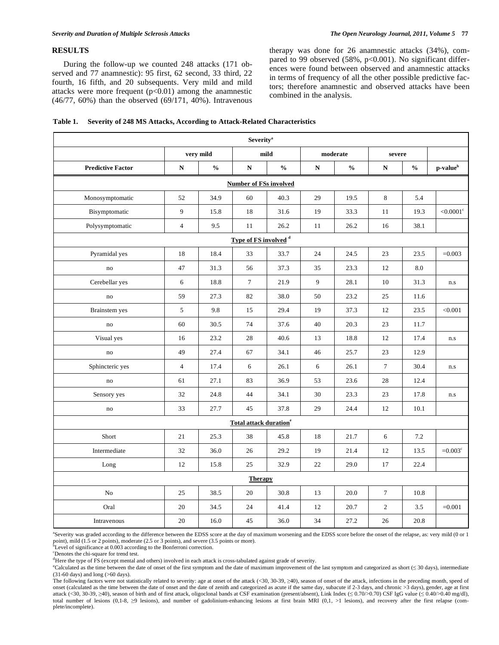# **RESULTS**

During the follow-up we counted 248 attacks (171 observed and 77 anamnestic): 95 first, 62 second, 33 third, 22 fourth, 16 fifth, and 20 subsequents. Very mild and mild attacks were more frequent  $(p<0.01)$  among the anamnestic (46/77, 60%) than the observed (69/171, 40%). Intravenous therapy was done for 26 anamnestic attacks (34%), compared to 99 observed  $(58\%, p<0.001)$ . No significant differences were found between observed and anamnestic attacks in terms of frequency of all the other possible predictive factors; therefore anamnestic and observed attacks have been combined in the analysis.

| Severity <sup>a</sup>            |                |               |                 |               |             |               |                |               |                         |
|----------------------------------|----------------|---------------|-----------------|---------------|-------------|---------------|----------------|---------------|-------------------------|
|                                  |                | very mild     | mild            |               | moderate    |               | severe         |               |                         |
| <b>Predictive Factor</b>         | ${\bf N}$      | $\frac{0}{0}$ | ${\bf N}$       | $\frac{0}{0}$ | $\mathbf N$ | $\frac{0}{0}$ | $\mathbf N$    | $\frac{0}{0}$ | p-value <sup>b</sup>    |
| <b>Number of FSs involved</b>    |                |               |                 |               |             |               |                |               |                         |
| Monosymptomatic                  | 52             | 34.9          | 60              | 40.3          | 29          | 19.5          | $8\,$          | 5.4           |                         |
| Bisymptomatic                    | 9              | 15.8          | 18              | 31.6          | 19          | 33.3          | 11             | 19.3          | ${<}0.0001^{\circ}$     |
| Polysymptomatic                  | $\overline{4}$ | 9.5           | 11              | 26.2          | 11          | 26.2          | 16             | 38.1          |                         |
| Type of FS involved <sup>d</sup> |                |               |                 |               |             |               |                |               |                         |
| Pyramidal yes                    | 18             | 18.4          | 33              | 33.7          | 24          | 24.5          | 23             | 23.5          | $=0.003$                |
| no                               | 47             | 31.3          | 56              | 37.3          | 35          | 23.3          | 12             | 8.0           |                         |
| Cerebellar yes                   | 6              | 18.8          | $7\overline{ }$ | 21.9          | 9           | 28.1          | 10             | 31.3          | n.s                     |
| no                               | 59             | 27.3          | 82              | 38.0          | 50          | 23.2          | 25             | 11.6          |                         |
| Brainstem yes                    | 5              | 9.8           | 15              | 29.4          | 19          | 37.3          | 12             | 23.5          | < 0.001                 |
| no                               | 60             | 30.5          | 74              | 37.6          | 40          | 20.3          | 23             | 11.7          |                         |
| Visual yes                       | 16             | 23.2          | 28              | 40.6          | 13          | 18.8          | 12             | 17.4          | n.s                     |
| no                               | 49             | 27.4          | 67              | 34.1          | 46          | 25.7          | 23             | 12.9          |                         |
| Sphincteric yes                  | $\overline{4}$ | 17.4          | 6               | 26.1          | $\sqrt{6}$  | 26.1          | $\tau$         | 30.4          | $\mathbf{n}.\mathbf{s}$ |
| no                               | 61             | 27.1          | 83              | 36.9          | 53          | 23.6          | 28             | 12.4          |                         |
| Sensory yes                      | 32             | 24.8          | 44              | 34.1          | 30          | 23.3          | 23             | 17.8          | n.s                     |
| no                               | 33             | 27.7          | 45              | 37.8          | 29          | 24.4          | 12             | 10.1          |                         |
| Total attack duration®           |                |               |                 |               |             |               |                |               |                         |
| Short                            | 21             | 25.3          | 38              | 45.8          | 18          | 21.7          | 6              | 7.2           |                         |
| Intermediate                     | 32             | 36.0          | 26              | 29.2          | 19          | 21.4          | 12             | 13.5          | $=0.003^{\circ}$        |
| Long                             | 12             | 15.8          | 25              | 32.9          | 22          | 29.0          | 17             | 22.4          |                         |
| <b>Therapy</b>                   |                |               |                 |               |             |               |                |               |                         |
| N <sub>o</sub>                   | 25             | 38.5          | 20              | 30.8          | 13          | 20.0          | $\overline{7}$ | 10.8          |                         |
| Oral                             | 20             | 34.5          | 24              | 41.4          | 12          | 20.7          | $\mathbf{2}$   | 3.5           | $=0.001$                |
| Intravenous                      | 20             | 16.0          | 45              | 36.0          | 34          | 27.2          | 26             | 20.8          |                         |

a Severity was graded according to the difference between the EDSS score at the day of maximum worsening and the EDSS score before the onset of the relapse, as: very mild (0 or 1 point), mild (1.5 or 2 points), moderate (2.5 or 3 points), and severe (3.5 points or more).<br><sup>b</sup>Level of significance at 0.003 according to the Bonferroni correction.

c Denotes the chi-square for trend test.

<sup>d</sup>Here the type of FS (except mental and others) involved in each attack is cross-tabulated against grade of severity.

<sup>e</sup>Calculated as the time between the date of onset of the first symptom and the date of maximum improvement of the last symptom and categorized as short ( $\leq$  30 days), intermediate (31-60 days) and long (>60 days).

The following factors were not statistically related to severity: age at onset of the attack (<30, 30-39, ≥40), season of onset of the attack, infections in the preceding month, speed of onset (calculated as the time between the date of onset and the date of zenith and categorized as acute if the same day, subacute if 2-3 days, and chronic >3 days), gender, age at first attack (<30, 30-39, ≥40), season of birth and of first attack, oligoclonal bands at CSF examination (present/absent), Link Index ( $\leq 0.70$ />0.70) CSF IgG value ( $\leq 0.40$ />0.40 mg/dl), total number of lesions  $(0,1-8, 0)$  lesions), and number of gadolinium-enhancing lesions at first brain MRI  $(0,1, 0)$  lesions), and recovery after the first relapse (complete/incomplete).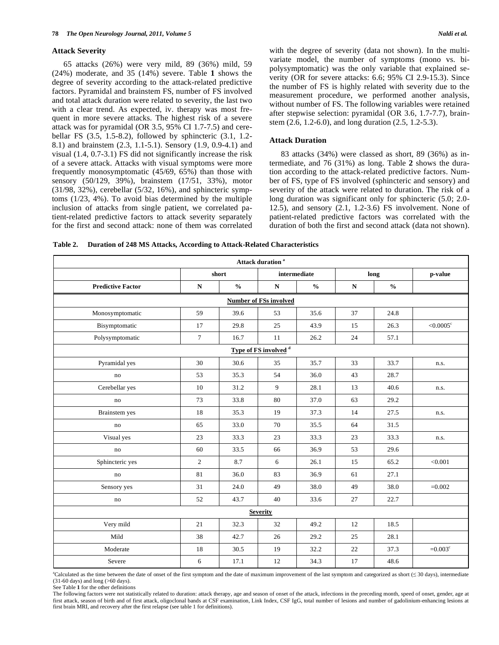#### **Attack Severity**

65 attacks (26%) were very mild, 89 (36%) mild, 59 (24%) moderate, and 35 (14%) severe. Table **1** shows the degree of severity according to the attack-related predictive factors. Pyramidal and brainstem FS, number of FS involved and total attack duration were related to severity, the last two with a clear trend. As expected, iv. therapy was most frequent in more severe attacks. The highest risk of a severe attack was for pyramidal (OR 3.5, 95% CI 1.7-7.5) and cerebellar FS (3.5, 1.5-8.2), followed by sphincteric (3.1, 1.2- 8.1) and brainstem (2.3, 1.1-5.1). Sensory (1.9, 0.9-4.1) and visual (1.4, 0.7-3.1) FS did not significantly increase the risk of a severe attack. Attacks with visual symptoms were more frequently monosymptomatic (45/69, 65%) than those with sensory (50/129, 39%), brainstem (17/51, 33%), motor (31/98, 32%), cerebellar (5/32, 16%), and sphincteric symptoms (1/23, 4%). To avoid bias determined by the multiple inclusion of attacks from single patient, we correlated patient-related predictive factors to attack severity separately for the first and second attack: none of them was correlated with the degree of severity (data not shown). In the multivariate model, the number of symptoms (mono vs. bipolysymptomatic) was the only variable that explained severity (OR for severe attacks: 6.6; 95% CI 2.9-15.3). Since the number of FS is highly related with severity due to the measurement procedure, we performed another analysis, without number of FS. The following variables were retained after stepwise selection: pyramidal (OR 3.6, 1.7-7.7), brainstem (2.6, 1.2-6.0), and long duration (2.5, 1.2-5.3).

## **Attack Duration**

83 attacks (34%) were classed as short, 89 (36%) as intermediate, and 76 (31%) as long. Table **2** shows the duration according to the attack-related predictive factors. Number of FS, type of FS involved (sphincteric and sensory) and severity of the attack were related to duration. The risk of a long duration was significant only for sphincteric  $(5.0; 2.0-$ 12.5), and sensory (2.1, 1.2-3.6) FS involvement. None of patient-related predictive factors was correlated with the duration of both the first and second attack (data not shown).

**Table 2. Duration of 248 MS Attacks, According to Attack-Related Characteristics** 

| Attack duration <sup>a</sup>     |                |               |              |               |           |                                    |                       |  |
|----------------------------------|----------------|---------------|--------------|---------------|-----------|------------------------------------|-----------------------|--|
|                                  |                | short         | intermediate |               | long      |                                    | p-value               |  |
| <b>Predictive Factor</b>         | ${\bf N}$      | $\frac{0}{0}$ | ${\bf N}$    | $\frac{0}{0}$ | ${\bf N}$ | $\mathbf{0}_{\mathbf{0}}^{\prime}$ |                       |  |
| <b>Number of FSs involved</b>    |                |               |              |               |           |                                    |                       |  |
| Monosymptomatic                  | 59             | 39.6          | 53           | 35.6          | 37        | 24.8                               |                       |  |
| Bisymptomatic                    | 17             | 29.8          | 25           | 43.9          | 15        | 26.3                               | $<$ 0.0005 $^{\circ}$ |  |
| Polysymptomatic                  | $\tau$         | 16.7          | 11           | 26.2          | 24        | 57.1                               |                       |  |
| Type of FS involved <sup>d</sup> |                |               |              |               |           |                                    |                       |  |
| Pyramidal yes                    | 30             | 30.6          | 35           | 35.7          | 33        | 33.7                               | n.s.                  |  |
| no                               | 53             | 35.3          | 54           | 36.0          | 43        | 28.7                               |                       |  |
| Cerebellar yes                   | 10             | 31.2          | 9            | 28.1          | 13        | 40.6                               | n.s.                  |  |
| no                               | 73             | 33.8          | 80           | 37.0          | 63        | 29.2                               |                       |  |
| Brainstem yes                    | 18             | 35.3          | 19           | 37.3          | 14        | 27.5                               | n.s.                  |  |
| no                               | 65             | 33.0          | 70           | 35.5          | 64        | 31.5                               |                       |  |
| Visual yes                       | 23             | 33.3          | 23           | 33.3          | 23        | 33.3                               | n.s.                  |  |
| $\mathop{\mathrm{no}}$           | 60             | 33.5          | 66           | 36.9          | 53        | 29.6                               |                       |  |
| Sphincteric yes                  | $\mathfrak{2}$ | 8.7           | 6            | 26.1          | 15        | 65.2                               | < 0.001               |  |
| no                               | 81             | 36.0          | 83           | 36.9          | 61        | 27.1                               |                       |  |
| Sensory yes                      | 31             | 24.0          | 49           | 38.0          | 49        | 38.0                               | $=0.002$              |  |
| no                               | 52             | 43.7          | 40           | 33.6          | 27        | 22.7                               |                       |  |
| <b>Severity</b>                  |                |               |              |               |           |                                    |                       |  |
| Very mild                        | 21             | 32.3          | 32           | 49.2          | 12        | 18.5                               |                       |  |
| Mild                             | 38             | 42.7          | 26           | 29.2          | 25        | 28.1                               |                       |  |
| Moderate                         | 18             | 30.5          | 19           | 32.2          | 22        | 37.3                               | $=0.003$ <sup>c</sup> |  |
| Severe                           | 6              | 17.1          | 12           | 34.3          | 17        | 48.6                               |                       |  |

a Calculated as the time between the date of onset of the first symptom and the date of maximum improvement of the last symptom and categorized as short ( 30 days), intermediate (31-60 days) and long (>60 days).

See Table **1** for the other definitions

The following factors were not statistically related to duration: attack therapy, age and season of onset of the attack, infections in the preceding month, speed of onset, gender, age at first attack, season of birth and of first attack, oligoclonal bands at CSF examination, Link Index, CSF IgG, total number of lesions and number of gadolinium-enhancing lesions at first brain MRI, and recovery after the first relapse (see table 1 for definitions).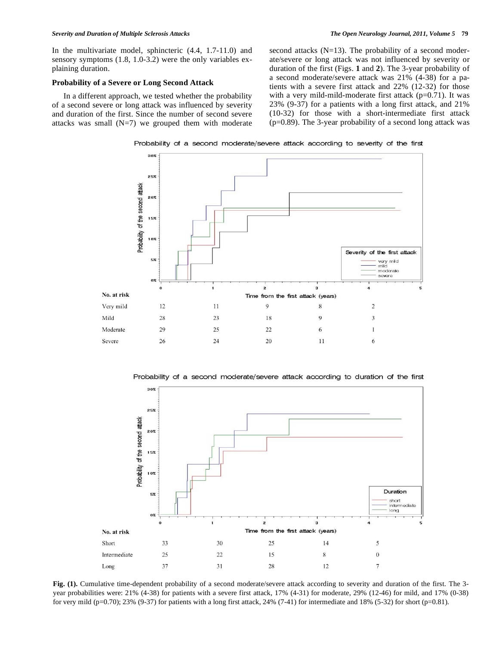In the multivariate model, sphincteric (4.4, 1.7-11.0) and sensory symptoms (1.8, 1.0-3.2) were the only variables explaining duration.

# **Probability of a Severe or Long Second Attack**

In a different approach, we tested whether the probability of a second severe or long attack was influenced by severity and duration of the first. Since the number of second severe attacks was small  $(N=7)$  we grouped them with moderate second attacks  $(N=13)$ . The probability of a second moderate/severe or long attack was not influenced by severity or duration of the first (Figs. **1** and **2**). The 3-year probability of a second moderate/severe attack was 21% (4-38) for a patients with a severe first attack and 22% (12-32) for those with a very mild-mild-moderate first attack (p=0.71). It was 23% (9-37) for a patients with a long first attack, and 21% (10-32) for those with a short-intermediate first attack  $(p=0.89)$ . The 3-year probability of a second long attack was

Probability of a second moderate/severe attack according to severity of the first



Probability of a second moderate/severe attack according to duration of the first



**Fig. (1).** Cumulative time-dependent probability of a second moderate/severe attack according to severity and duration of the first. The 3 year probabilities were: 21% (4-38) for patients with a severe first attack, 17% (4-31) for moderate, 29% (12-46) for mild, and 17% (0-38) for very mild (p=0.70); 23% (9-37) for patients with a long first attack, 24% (7-41) for intermediate and 18% (5-32) for short (p=0.81).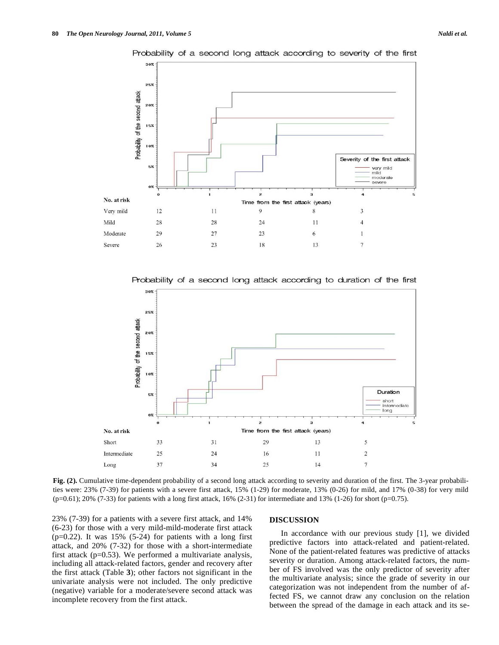



Probability of a second long attack according to severity of the first

Probability of a second long attack according to duration of the first



**Fig. (2).** Cumulative time-dependent probability of a second long attack according to severity and duration of the first. The 3-year probabilities were: 23% (7-39) for patients with a severe first attack, 15% (1-29) for moderate, 13% (0-26) for mild, and 17% (0-38) for very mild  $(p=0.61)$ ; 20% (7-33) for patients with a long first attack, 16% (2-31) for intermediate and 13% (1-26) for short (p=0.75).

23% (7-39) for a patients with a severe first attack, and 14% (6-23) for those with a very mild-mild-moderate first attack  $(p=0.22)$ . It was 15% (5-24) for patients with a long first attack, and 20% (7-32) for those with a short-intermediate first attack ( $p=0.53$ ). We performed a multivariate analysis, including all attack-related factors, gender and recovery after the first attack (Table **3**); other factors not significant in the univariate analysis were not included. The only predictive (negative) variable for a moderate/severe second attack was incomplete recovery from the first attack.

#### **DISCUSSION**

In accordance with our previous study [1], we divided predictive factors into attack-related and patient-related. None of the patient-related features was predictive of attacks severity or duration. Among attack-related factors, the number of FS involved was the only predictor of severity after the multivariate analysis; since the grade of severity in our categorization was not independent from the number of affected FS, we cannot draw any conclusion on the relation between the spread of the damage in each attack and its se-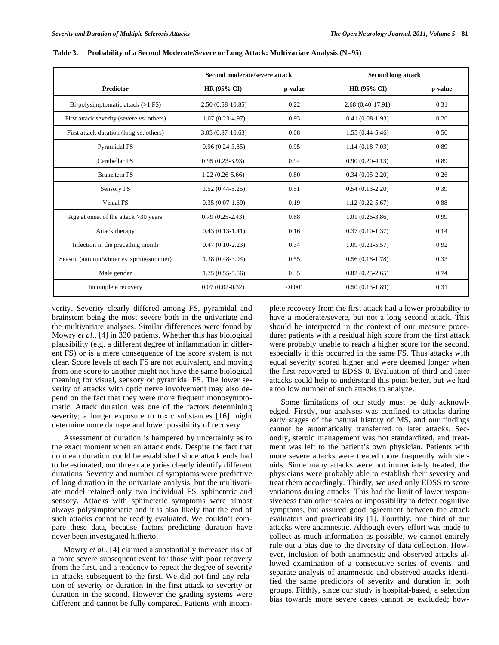|                                           | Second moderate/severe attack |         | <b>Second long attack</b> |         |  |  |
|-------------------------------------------|-------------------------------|---------|---------------------------|---------|--|--|
| <b>Predictor</b>                          | HR (95% CI)                   | p-value | HR (95% CI)               | p-value |  |  |
| Bi-polysimptomatic attack $(>1$ FS)       | $2.50(0.58-10.85)$            | 0.22    | $2.68(0.40-17.91)$        | 0.31    |  |  |
| First attack severity (severe vs. others) | $1.07(0.23-4.97)$             | 0.93    | $0.41(0.08-1.93)$         | 0.26    |  |  |
| First attack duration (long vs. others)   | $3.05(0.87-10.63)$            | 0.08    | $1.55(0.44 - 5.46)$       | 0.50    |  |  |
| Pyramidal FS                              | $0.96(0.24-3.85)$             | 0.95    | $1.14(0.18-7.03)$         | 0.89    |  |  |
| Cerebellar FS                             | $0.95(0.23-3.93)$             | 0.94    | $0.90(0.20-4.13)$         | 0.89    |  |  |
| <b>Brainstem FS</b>                       | $1.22(0.26-5.66)$             | 0.80    | $0.34(0.05-2.20)$         | 0.26    |  |  |
| Sensory FS                                | $1.52(0.44 - 5.25)$           | 0.51    | $0.54(0.13-2.20)$         | 0.39    |  |  |
| Visual FS                                 | $0.35(0.07-1.69)$             | 0.19    | $1.12(0.22 - 5.67)$       | 0.88    |  |  |
| Age at onset of the attack $>30$ years    | $0.79(0.25-2.43)$             | 0.68    | $1.01(0.26-3.86)$         | 0.99    |  |  |
| Attack therapy                            | $0.43(0.13-1.41)$             | 0.16    | $0.37(0.10-1.37)$         | 0.14    |  |  |
| Infection in the preceding month          | $0.47(0.10-2.23)$             | 0.34    | $1.09(0.21 - 5.57)$       | 0.92    |  |  |
| Season (autumn/winter vs. spring/summer)  | $1.38(0.48-3.94)$             | 0.55    | $0.56(0.18-1.78)$         | 0.33    |  |  |
| Male gender                               | $1.75(0.55-5.56)$             | 0.35    | $0.82(0.25-2.65)$         | 0.74    |  |  |
| Incomplete recovery                       | $0.07(0.02-0.32)$             | < 0.001 | $0.50(0.13-1.89)$         | 0.31    |  |  |

**Table 3. Probability of a Second Moderate/Severe or Long Attack: Multivariate Analysis (N=95)** 

verity. Severity clearly differed among FS, pyramidal and brainstem being the most severe both in the univariate and the multivariate analyses. Similar differences were found by Mowry *et al*., [4] in 330 patients. Whether this has biological plausibility (e.g. a different degree of inflammation in different FS) or is a mere consequence of the score system is not clear. Score levels of each FS are not equivalent, and moving from one score to another might not have the same biological meaning for visual, sensory or pyramidal FS. The lower severity of attacks with optic nerve involvement may also depend on the fact that they were more frequent monosymptomatic. Attack duration was one of the factors determining severity; a longer exposure to toxic substances [16] might determine more damage and lower possibility of recovery.

Assessment of duration is hampered by uncertainly as to the exact moment when an attack ends. Despite the fact that no mean duration could be established since attack ends had to be estimated, our three categories clearly identify different durations. Severity and number of symptoms were predictive of long duration in the univariate analysis, but the multivariate model retained only two individual FS, sphincteric and sensory. Attacks with sphincteric symptoms were almost always polysimptomatic and it is also likely that the end of such attacks cannot be readily evaluated. We couldn't compare these data, because factors predicting duration have never been investigated hitherto.

Mowry *et al*., [4] claimed a substantially increased risk of a more severe subsequent event for those with poor recovery from the first, and a tendency to repeat the degree of severity in attacks subsequent to the first. We did not find any relation of severity or duration in the first attack to severity or duration in the second. However the grading systems were different and cannot be fully compared. Patients with incomplete recovery from the first attack had a lower probability to have a moderate/severe, but not a long second attack. This should be interpreted in the context of our measure procedure: patients with a residual high score from the first attack were probably unable to reach a higher score for the second, especially if this occurred in the same FS. Thus attacks with equal severity scored higher and were deemed longer when the first recovered to EDSS 0. Evaluation of third and later attacks could help to understand this point better, but we had a too low number of such attacks to analyze.

Some limitations of our study must be duly acknowledged. Firstly, our analyses was confined to attacks during early stages of the natural history of MS, and our findings cannot be automatically transferred to later attacks. Secondly, steroid management was not standardized, and treatment was left to the patient's own physician*.* Patients with more severe attacks were treated more frequently with steroids. Since many attacks were not immediately treated, the physicians were probably able to establish their severity and treat them accordingly. Thirdly, we used only EDSS to score variations during attacks. This had the limit of lower responsiveness than other scales or impossibility to detect cognitive symptoms, but assured good agreement between the attack evaluators and practicability [1]. Fourthly, one third of our attacks were anamnestic. Although every effort was made to collect as much information as possible, we cannot entirely rule out a bias due to the diversity of data collection. However, inclusion of both anamnestic and observed attacks allowed examination of a consecutive series of events, and separate analysis of anamnestic and observed attacks identified the same predictors of severity and duration in both groups. Fifthly, since our study is hospital-based, a selection bias towards more severe cases cannot be excluded; how